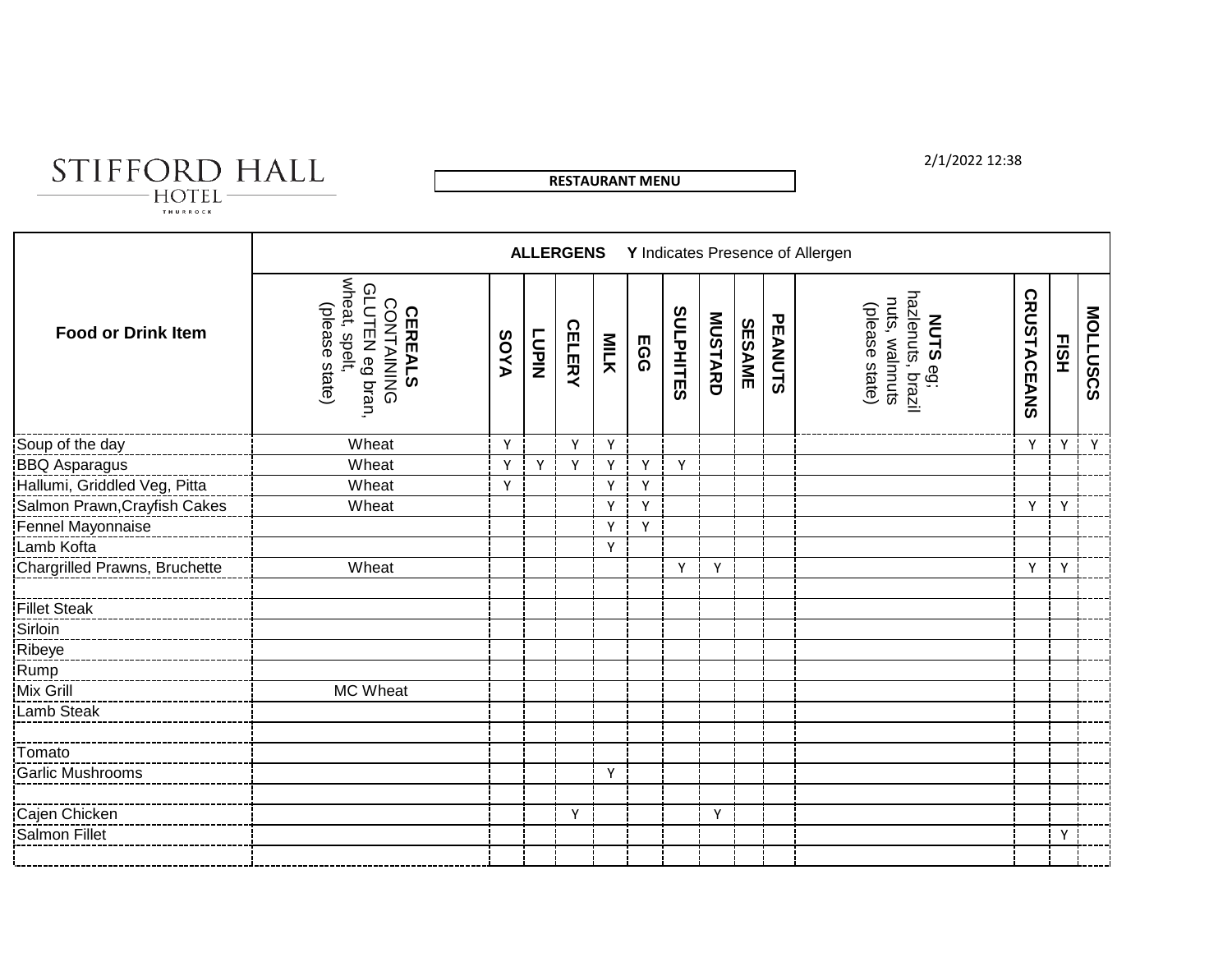

**RESTAURANT MENU**

### 2/1/2022 12:38

 $\text{HOTEL}$   $-$ 

|                                                 |                                                                                    |      |              | <b>ALLERGENS</b> |              |            |                  |                |               |         | Y Indicates Presence of Allergen                                         |                    |             |          |
|-------------------------------------------------|------------------------------------------------------------------------------------|------|--------------|------------------|--------------|------------|------------------|----------------|---------------|---------|--------------------------------------------------------------------------|--------------------|-------------|----------|
| <b>Food or Drink Item</b>                       | wheat, spelt,<br>GLUTEN eg bran.<br>CONTAINING<br>(please state)<br><b>CEREALS</b> | AYOS | <b>LUPIN</b> | <b>CELERY</b>    | MILK         | <b>EGG</b> | <b>SULPHITES</b> | <b>MUSTARD</b> | <b>SESAME</b> | PEANUTS | <b>NUTS</b> eg;<br>hazlenuts, brazil<br>nuts, walnnuts<br>(please state) | <b>CRUSTACEANS</b> | <b>FISH</b> | MOLLUSCS |
| Soup of the day                                 | Wheat                                                                              | Y    |              | Y                | Y            |            |                  |                |               |         |                                                                          | Y                  | Y           | Y        |
| BBQ Asparagus                                   | Wheat                                                                              | Υ    | Y            | Y                | Y            | Υ          | Y                |                |               |         |                                                                          |                    |             |          |
| Hallumi, Griddled Veg, Pitta                    | Wheat                                                                              | Y    |              |                  | Y            | Υ          |                  |                |               |         |                                                                          |                    |             |          |
| Salmon Prawn, Crayfish Cakes                    | Wheat                                                                              |      |              |                  | Y            | Y          |                  |                |               |         |                                                                          | Y                  | Y           |          |
| Fennel Mayonnaise                               |                                                                                    |      |              |                  | Y            | Υ          |                  |                |               |         |                                                                          |                    |             |          |
| Lamb Kofta                                      |                                                                                    |      |              |                  | $\mathsf{Y}$ |            |                  |                |               |         |                                                                          |                    |             |          |
| Chargrilled Prawns, Bruchette                   | Wheat                                                                              |      |              |                  |              |            | Υ                | Y              |               |         |                                                                          | Y                  | Y           |          |
| <b>Fillet Steak</b>                             |                                                                                    |      |              |                  |              |            |                  |                |               |         |                                                                          |                    |             |          |
| Sirloin                                         |                                                                                    |      |              |                  |              |            |                  |                |               |         |                                                                          |                    |             |          |
| Ribeye<br>Rump<br>Mix Grill                     |                                                                                    |      |              |                  |              |            |                  |                |               |         |                                                                          |                    |             |          |
|                                                 |                                                                                    |      |              |                  |              |            |                  |                |               |         |                                                                          |                    |             |          |
|                                                 | MC Wheat                                                                           |      |              |                  |              |            |                  |                |               |         |                                                                          |                    |             |          |
| Lamb Steak                                      |                                                                                    |      |              |                  |              |            |                  |                |               |         |                                                                          |                    |             |          |
| Tomato                                          |                                                                                    |      |              |                  |              |            |                  |                |               |         |                                                                          |                    |             |          |
| --------------------------<br> Garlic Mushrooms |                                                                                    |      |              |                  | Y            |            |                  |                |               |         |                                                                          |                    |             |          |
|                                                 |                                                                                    |      |              | Y                |              |            |                  | Y              |               |         |                                                                          |                    |             |          |
| Cajen Chicken<br>Salmon Fillet                  |                                                                                    |      |              |                  |              |            |                  |                |               |         |                                                                          |                    | Y           |          |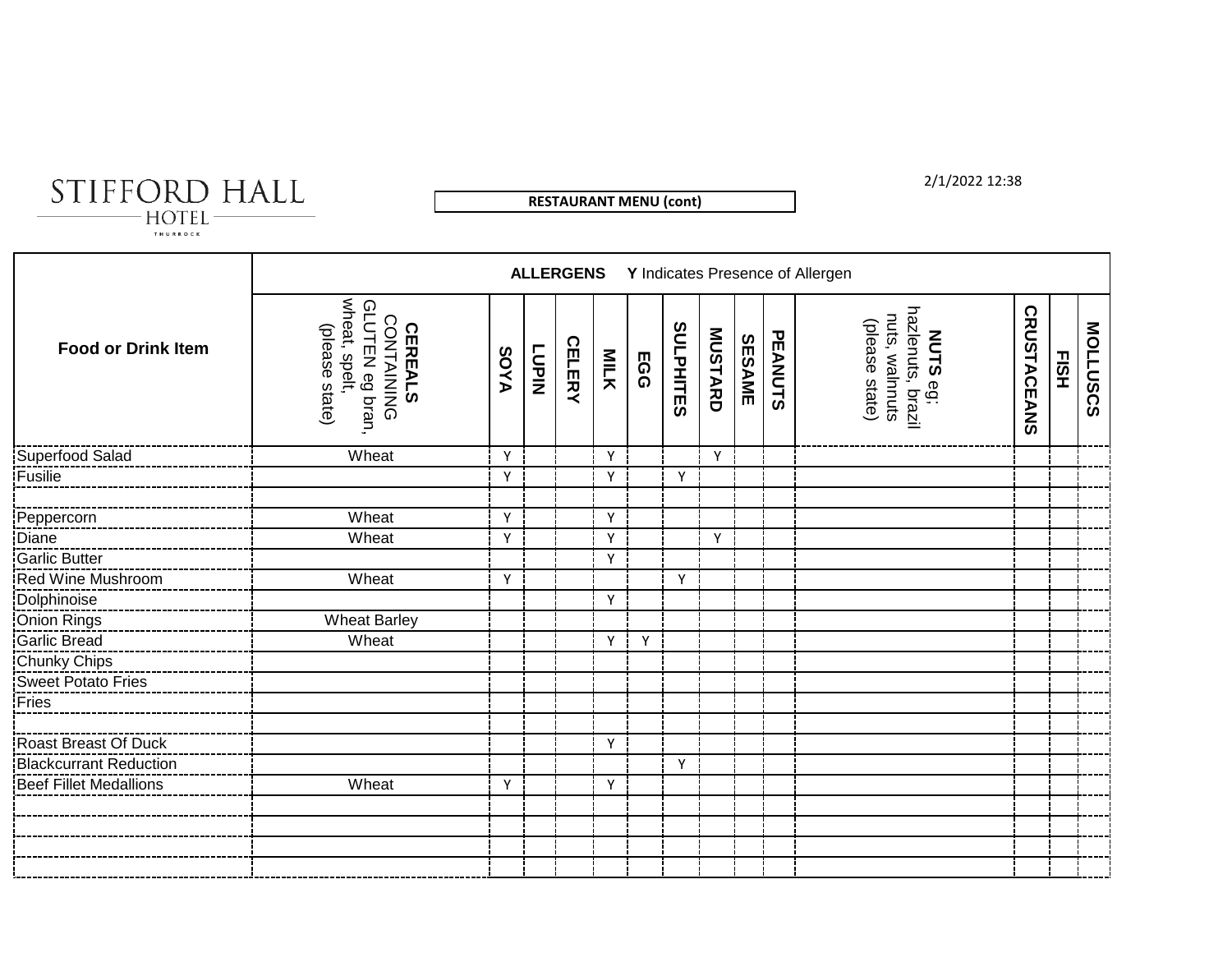STIFFORD HALL  $-HOTEL -$ 

Г

**RESTAURANT MENU (cont)**

2/1/2022 12:38

|                           |                                                                                    |             |              |               |      |     |           |         |        |         | <b>ALLERGENS</b> Y Indicates Presence of Allergen                 |                    |          |                 |
|---------------------------|------------------------------------------------------------------------------------|-------------|--------------|---------------|------|-----|-----------|---------|--------|---------|-------------------------------------------------------------------|--------------------|----------|-----------------|
| <b>Food or Drink Item</b> | CONTAINING<br>GLUTEN eg bran,<br>wheat, spelt,<br>(please state)<br><b>CEREALS</b> | <b>AYOS</b> | <b>LUPIN</b> | <b>CELERY</b> | MILK | EGG | SULPHITES | MUSTARD | SESAME | PEANUTS | NUTS eg;<br>hazlenuts, brazil<br>nuts, walnnuts<br>(please state) | <b>CRUSTACEANS</b> | Е<br>ЕЗН | <b>MOLLUSCS</b> |
| Superfood Salad           | Wheat                                                                              | Y           |              |               | Y    |     |           | Y       |        |         |                                                                   |                    |          |                 |
| Fusilie                   |                                                                                    | Υ           |              |               | Y    |     | Y         |         |        |         |                                                                   |                    |          |                 |
| Peppercorn                | Wheat                                                                              | Y           |              |               | Y    |     |           |         |        |         |                                                                   |                    |          |                 |
| Diane                     | Wheat                                                                              | Y           |              |               | Y    |     |           | Y       |        |         |                                                                   |                    |          |                 |
| Garlic Butter             |                                                                                    |             |              |               | Y    |     |           |         |        |         |                                                                   |                    |          |                 |
| Red Wine Mushroom         | Wheat                                                                              | Y           |              |               |      |     | Y         |         |        |         |                                                                   |                    |          |                 |
| Dolphinoise               |                                                                                    |             |              |               | Y    |     |           |         |        |         |                                                                   |                    |          |                 |
| Onion Rings               | <b>Wheat Barley</b>                                                                |             |              |               |      |     |           |         |        |         |                                                                   |                    |          |                 |
| Garlic Bread              | Wheat                                                                              |             |              |               | Y    | Y   |           |         |        |         |                                                                   |                    |          |                 |
| <b>Chunky Chips</b>       |                                                                                    |             |              |               |      |     |           |         |        |         |                                                                   |                    |          |                 |
| <b>Sweet Potato Fries</b> |                                                                                    |             |              |               |      |     |           |         |        |         |                                                                   |                    |          |                 |
| Fries                     |                                                                                    |             |              |               |      |     |           |         |        |         |                                                                   |                    |          |                 |
|                           |                                                                                    |             |              |               |      |     |           |         |        |         |                                                                   |                    |          |                 |
| Roast Breast Of Duck      |                                                                                    |             |              |               | Y    |     |           |         |        |         |                                                                   |                    |          |                 |
| Blackcurrant Reduction    |                                                                                    |             |              |               |      |     | Y         |         |        |         |                                                                   |                    |          |                 |
| Beef Fillet Medallions    | Wheat                                                                              | Y           |              |               | Y    |     |           |         |        |         |                                                                   |                    |          |                 |
|                           |                                                                                    |             |              |               |      |     |           |         |        |         |                                                                   |                    |          |                 |
|                           |                                                                                    |             |              |               |      |     |           |         |        |         |                                                                   |                    |          |                 |
|                           |                                                                                    |             |              |               |      |     |           |         |        |         |                                                                   |                    |          |                 |
|                           |                                                                                    |             |              |               |      |     |           |         |        |         |                                                                   |                    |          |                 |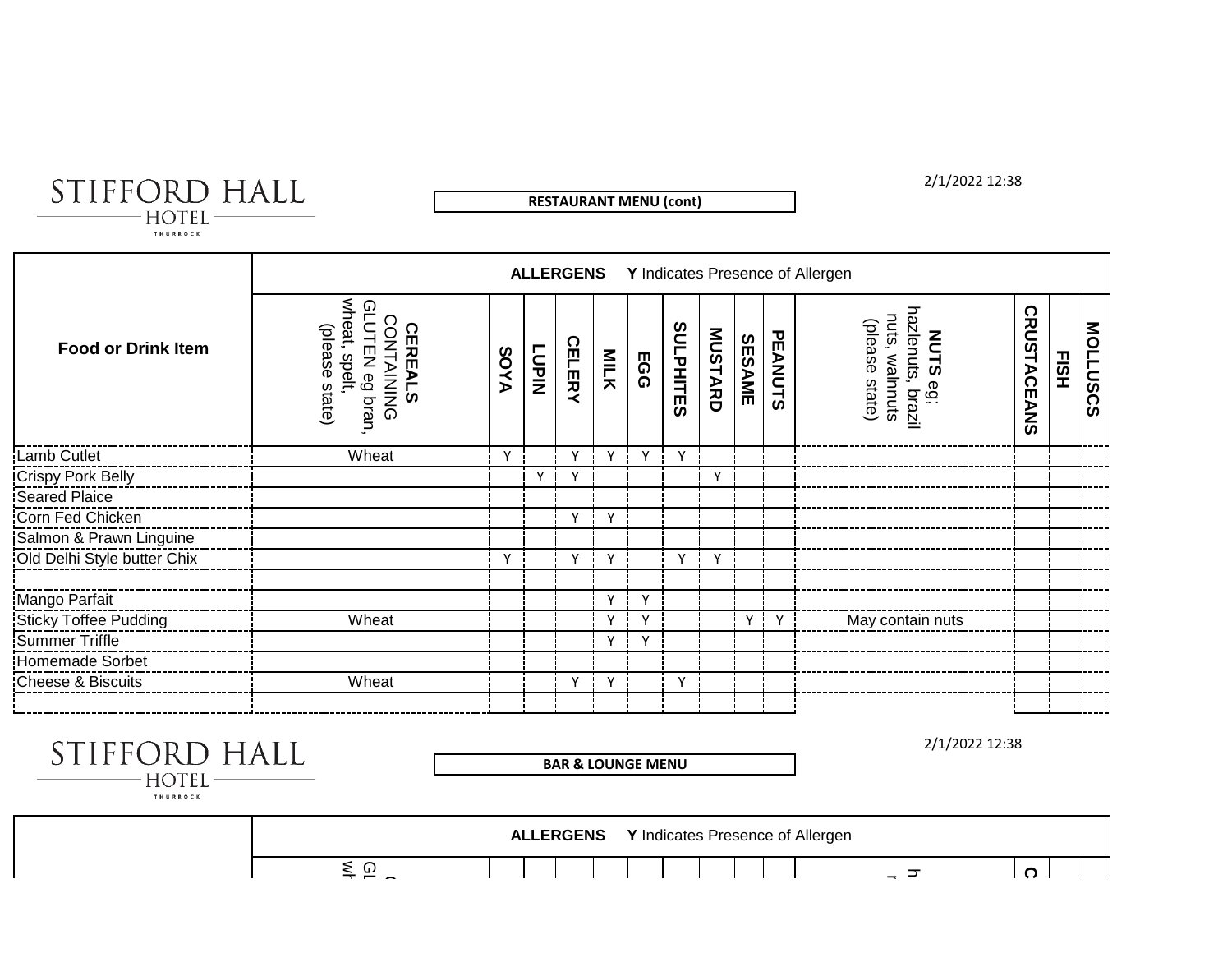STIFFORD HALL  $-HOTEL -$ 

**RESTAURANT MENU (cont)**

2/1/2022 12:38

|                             |                                                                                                     |              |              |               |              |              |                  |              |               |         | <b>ALLERGENS</b> Y Indicates Presence of Allergen                                |                    |             |          |
|-----------------------------|-----------------------------------------------------------------------------------------------------|--------------|--------------|---------------|--------------|--------------|------------------|--------------|---------------|---------|----------------------------------------------------------------------------------|--------------------|-------------|----------|
| <b>Food or Drink Item</b>   | wheat,<br>ဝှ<br>(please state)<br>UTEN eg bran<br><b>CEREAL</b><br>ONTAINING<br>spelt,<br><b>co</b> | <b>AYOS</b>  | <b>LUPIN</b> | <b>CELERY</b> | <b>MILK</b>  | <b>EGG</b>   | <b>SULPHITES</b> | MUSTARD      | <b>SESAME</b> | PEANUTS | hazlenuts,<br>nuts, walnnuts<br>(please state)<br><b>NUTS</b><br>eg;<br>, brazil | <b>CRUSTACEANS</b> | <b>FISH</b> | MOLLUSCS |
| Lamb Cutlet                 | Wheat                                                                                               | $\mathsf{v}$ |              |               | $\checkmark$ | $\mathsf{v}$ | $\mathsf{v}$     |              |               |         |                                                                                  |                    |             |          |
| Crispy Pork Belly           |                                                                                                     |              |              |               |              |              |                  | ٧            |               |         |                                                                                  |                    |             |          |
| Seared Plaice               |                                                                                                     |              |              |               |              |              |                  |              |               |         |                                                                                  |                    |             |          |
| Corn Fed Chicken            |                                                                                                     |              |              | Y             | Y            |              |                  |              |               |         |                                                                                  |                    |             |          |
| Salmon & Prawn Linguine     |                                                                                                     |              |              |               |              |              |                  |              |               |         |                                                                                  |                    |             |          |
| Old Delhi Style butter Chix |                                                                                                     | $\checkmark$ |              | $\checkmark$  | $\mathsf{v}$ |              | $\vee$           | $\mathsf{v}$ |               |         |                                                                                  |                    |             |          |
| Mango Parfait               |                                                                                                     |              |              |               | $\mathsf{v}$ | $\mathbf v$  |                  |              |               |         |                                                                                  |                    |             |          |
| Sticky Toffee Pudding       | Wheat                                                                                               |              |              |               | v            | N            |                  |              | Y             | Y       | May contain nuts                                                                 |                    |             |          |
| Summer Triffle              |                                                                                                     |              |              |               | Y            | $\checkmark$ |                  |              |               |         |                                                                                  |                    |             |          |
| Homemade Sorbet             |                                                                                                     |              |              |               |              |              |                  |              |               |         |                                                                                  |                    |             |          |
| Cheese & Biscuits           | Wheat                                                                                               |              |              | v             | Y            |              | Υ                |              |               |         |                                                                                  |                    |             |          |
|                             |                                                                                                     |              |              |               |              |              |                  |              |               |         |                                                                                  |                    |             |          |

| STIFFORD HALL<br><b>HOTEL</b><br>THURROCK |                 |                  | <b>BAR &amp; LOUNGE MENU</b> |                                  |     | 2/1/2022 12:38 |
|-------------------------------------------|-----------------|------------------|------------------------------|----------------------------------|-----|----------------|
|                                           |                 | <b>ALLERGENS</b> |                              | Y Indicates Presence of Allergen |     |                |
|                                           | $\leq$ $\Omega$ |                  |                              |                                  | – ਤ | ດ              |
|                                           |                 |                  |                              |                                  |     |                |
|                                           |                 |                  |                              |                                  |     |                |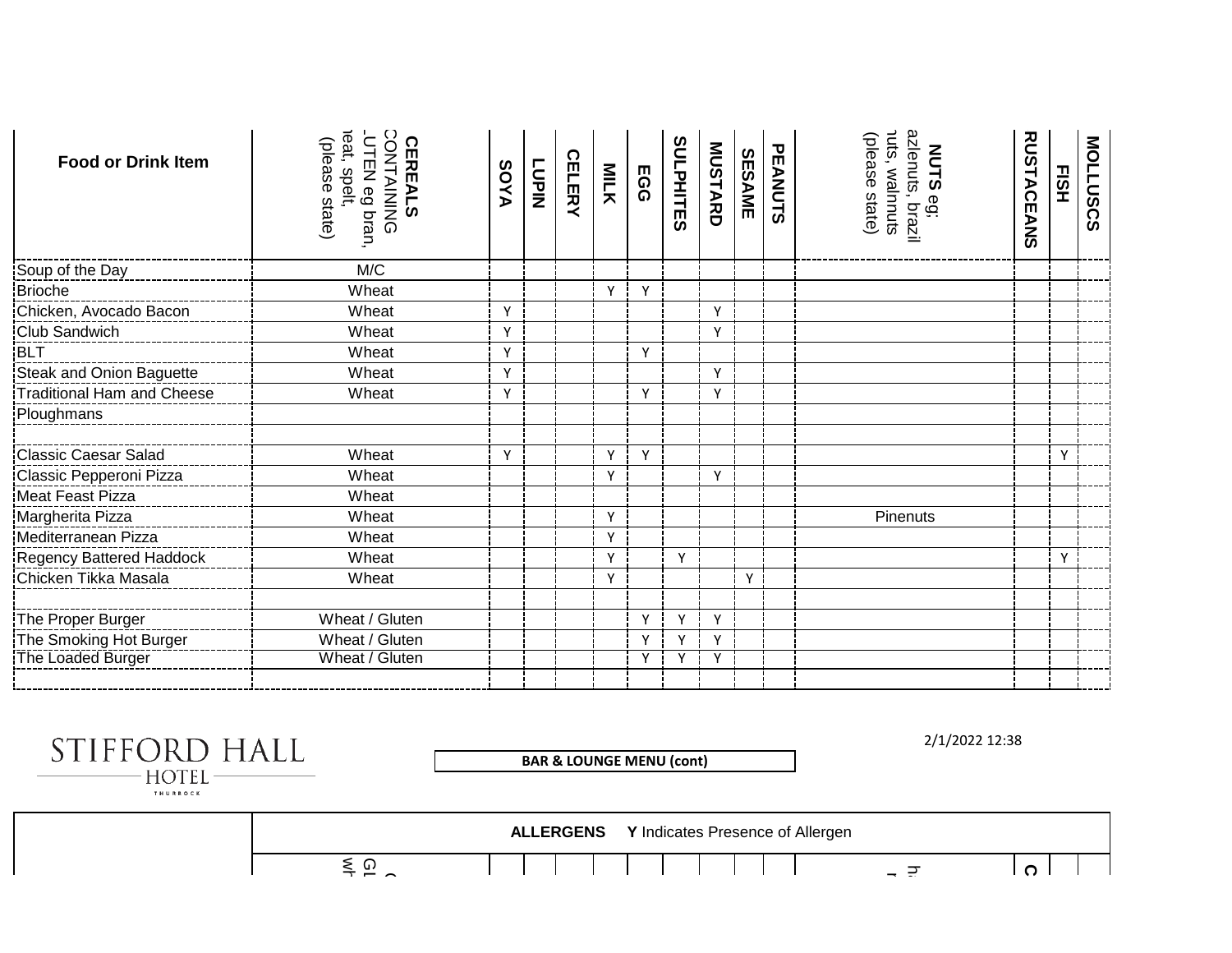| <b>Food or Drink Item</b>                     | CONTAINING<br>eat, spelt,<br>(please state)<br>UTEN eg bran,<br><b>CEREALS</b> | AYOS | NIJ<br>NIJ | <b>CELERY</b> | MILK         | <b>EGG</b>   | <b>SULPHITES</b> | MUSTARD | <b>SESAME</b> | PEANUTS | <b>NUTS</b> eg;<br>azlenuts, brazil<br><sup>nuts,</sup> walnnuts<br>(please state) | <b>RUSTACEANS</b> | EISH | <b>MOLLUSCS</b> |
|-----------------------------------------------|--------------------------------------------------------------------------------|------|------------|---------------|--------------|--------------|------------------|---------|---------------|---------|------------------------------------------------------------------------------------|-------------------|------|-----------------|
| Soup of the Day                               | M/C                                                                            |      |            |               |              |              |                  |         |               |         |                                                                                    |                   |      |                 |
| Brioche                                       | Wheat                                                                          |      |            |               | $\mathsf{v}$ | Y            |                  |         |               |         |                                                                                    |                   |      |                 |
| Chicken, Avocado Bacon                        | Wheat                                                                          | Y    |            |               |              |              |                  | Y       |               |         |                                                                                    |                   |      |                 |
| Club Sandwich                                 | Wheat                                                                          | Y    |            |               |              |              |                  | Υ       |               |         |                                                                                    |                   |      |                 |
| <b>BLT</b><br>BLT<br>Steak and Onion Baguette | Wheat                                                                          | Y    |            |               |              | $\mathsf{v}$ |                  |         |               |         |                                                                                    |                   |      |                 |
|                                               | Wheat                                                                          | Y    |            |               |              |              |                  | Y       |               |         |                                                                                    |                   |      |                 |
| Traditional Ham and Cheese                    | Wheat                                                                          | Y    |            |               |              | Υ            |                  | Y       |               |         |                                                                                    |                   |      |                 |
| Ploughmans                                    |                                                                                |      |            |               |              |              |                  |         |               |         |                                                                                    |                   |      |                 |
| <b>Classic Caesar Salad</b>                   | Wheat                                                                          | Y    |            |               | $\mathsf{v}$ | Y            |                  |         |               |         |                                                                                    |                   | Y    |                 |
| Classic Pepperoni Pizza                       | Wheat                                                                          |      |            |               | Y            |              |                  | Υ       |               |         |                                                                                    |                   |      |                 |
| Meat Feast Pizza                              | Wheat                                                                          |      |            |               |              |              |                  |         |               |         |                                                                                    |                   |      |                 |
| Margherita Pizza                              | Wheat                                                                          |      |            |               | $\mathsf{v}$ |              |                  |         |               |         | Pinenuts                                                                           |                   |      |                 |
| Mediterranean Pizza                           | Wheat                                                                          |      |            |               | Y            |              |                  |         |               |         |                                                                                    |                   |      |                 |
| Regency Battered Haddock                      | Wheat                                                                          |      |            |               | Y            |              | Y                |         |               |         |                                                                                    |                   | Y    |                 |
| Chicken Tikka Masala                          | Wheat                                                                          |      |            |               | $\checkmark$ |              |                  |         | Y             |         |                                                                                    |                   |      |                 |
| The Proper Burger                             | Wheat / Gluten                                                                 |      |            |               |              | Y            | Y                | Y       |               |         |                                                                                    |                   |      |                 |
| The Smoking Hot Burger                        | Wheat / Gluten                                                                 |      |            |               |              | Y            | Y                | Y       |               |         |                                                                                    |                   |      |                 |
| The Loaded Burger                             | Wheat / Gluten                                                                 |      |            |               |              |              | Υ                | ۷       |               |         |                                                                                    |                   |      |                 |
|                                               |                                                                                |      |            |               |              |              |                  |         |               |         |                                                                                    |                   |      |                 |

| STIFFORD HALL<br><b>HOTEL</b><br>THURROCK |                 |                  | <b>BAR &amp; LOUNGE MENU (cont)</b> | 2/1/2022 12:38 |
|-------------------------------------------|-----------------|------------------|-------------------------------------|----------------|
|                                           |                 | <b>ALLERGENS</b> | Y Indicates Presence of Allergen    |                |
|                                           | $\leq$ $\Omega$ |                  |                                     | C.<br>– ਦ      |
|                                           |                 |                  |                                     |                |
|                                           |                 |                  |                                     |                |
|                                           |                 |                  |                                     |                |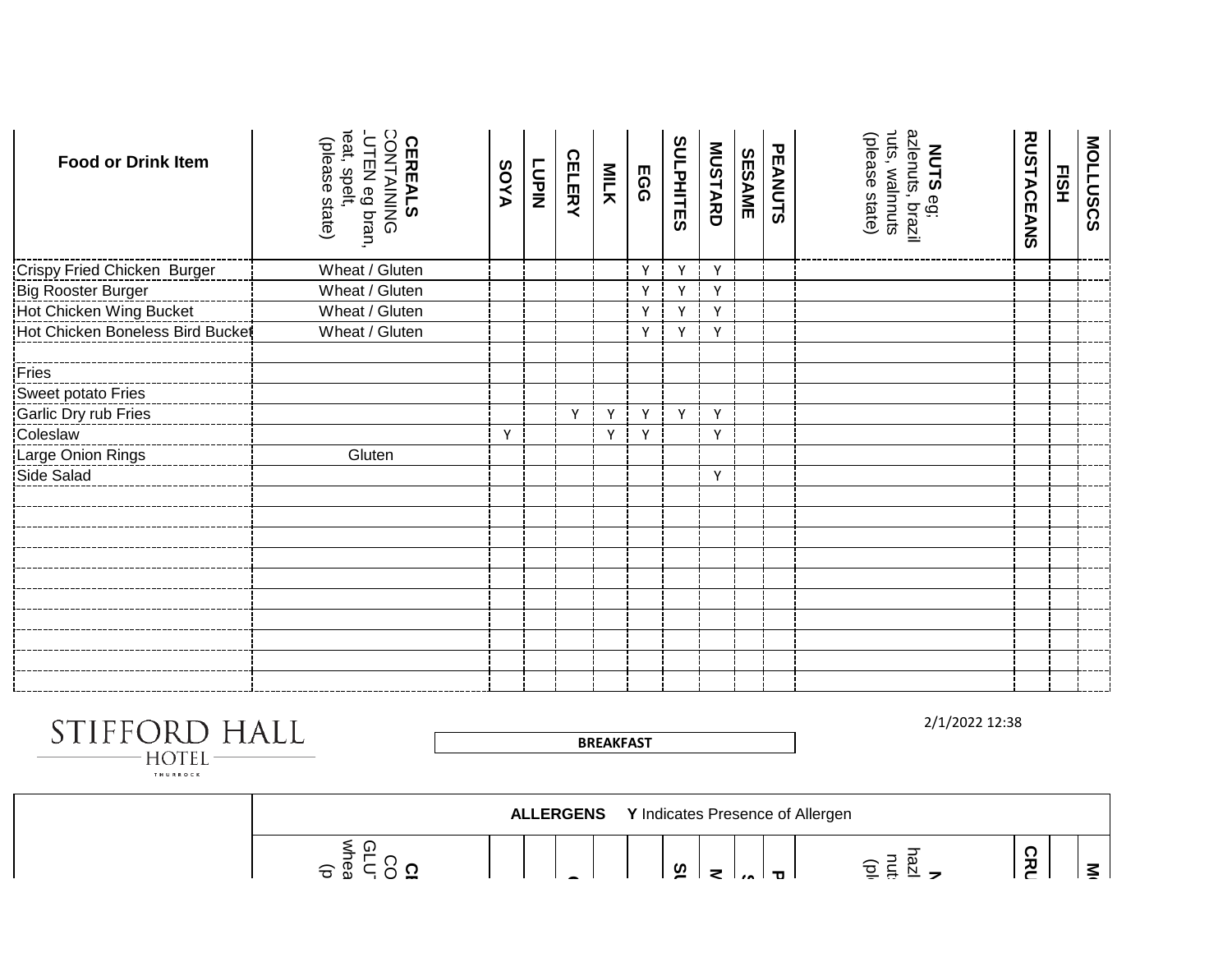| <b>Food or Drink Item</b>          | CONTAINING<br>eat, spelt,<br>UTEN eg bran,<br>(please state)<br><b>CEREALS</b> | <b>AYOS</b> | <b>LUPIN</b> | <b>CELERY</b> | MILK         | <b>EGG</b> | <b>SULPHITES</b> | <b>MUSTARD</b> | <b>SESAME</b> | PEANUTS | <b>NUTS</b> eg;<br>azlenuts, brazil<br>nuts, walnnuts<br>(please state) | <b>RUSTACEANS</b> | EISH | <b>MOLLUSCS</b> |
|------------------------------------|--------------------------------------------------------------------------------|-------------|--------------|---------------|--------------|------------|------------------|----------------|---------------|---------|-------------------------------------------------------------------------|-------------------|------|-----------------|
| <b>Crispy Fried Chicken Burger</b> | Wheat / Gluten                                                                 |             |              |               |              | Υ          | Υ                | Y              |               |         |                                                                         |                   |      |                 |
| <b>Big Rooster Burger</b>          | Wheat / Gluten                                                                 |             |              |               |              | Y          | Y                | Y              |               |         |                                                                         |                   |      |                 |
| Hot Chicken Wing Bucket            | Wheat / Gluten                                                                 |             |              |               |              | Υ          | Y                | Y              |               |         |                                                                         |                   |      |                 |
| Hot Chicken Boneless Bird Bucket   | Wheat / Gluten                                                                 |             |              |               |              | Y          | Y                | Υ              |               |         |                                                                         |                   |      |                 |
| Fries                              |                                                                                |             |              |               |              |            |                  |                |               |         |                                                                         |                   |      |                 |
| Sweet potato Fries                 |                                                                                |             |              |               |              |            |                  |                |               |         |                                                                         |                   |      |                 |
| Garlic Dry rub Fries               |                                                                                |             |              | $\mathsf{v}$  | V            | Y          | Y                | Y              |               |         |                                                                         |                   |      |                 |
| Coleslaw                           |                                                                                | Y           |              |               | $\mathsf{v}$ | Υ          |                  | Y              |               |         |                                                                         |                   |      |                 |
| Large Onion Rings                  | Gluten                                                                         |             |              |               |              |            |                  |                |               |         |                                                                         |                   |      |                 |
| Side Salad                         |                                                                                |             |              |               |              |            |                  | Y              |               |         |                                                                         |                   |      |                 |
|                                    |                                                                                |             |              |               |              |            |                  |                |               |         |                                                                         |                   |      |                 |
|                                    |                                                                                |             |              |               |              |            |                  |                |               |         |                                                                         |                   |      |                 |
|                                    |                                                                                |             |              |               |              |            |                  |                |               |         |                                                                         |                   |      |                 |
|                                    |                                                                                |             |              |               |              |            |                  |                |               |         |                                                                         |                   |      |                 |
|                                    |                                                                                |             |              |               |              |            |                  |                |               |         |                                                                         |                   |      |                 |
|                                    |                                                                                |             |              |               |              |            |                  |                |               |         |                                                                         |                   |      |                 |
|                                    |                                                                                |             |              |               |              |            |                  |                |               |         |                                                                         |                   |      |                 |
|                                    |                                                                                |             |              |               |              |            |                  |                |               |         |                                                                         |                   |      |                 |
|                                    |                                                                                |             |              |               |              |            |                  |                |               |         |                                                                         |                   |      |                 |

STIFFORD HALL  $-HOTEL -$ 

2/1/2022 12:38



**BREAKFAST**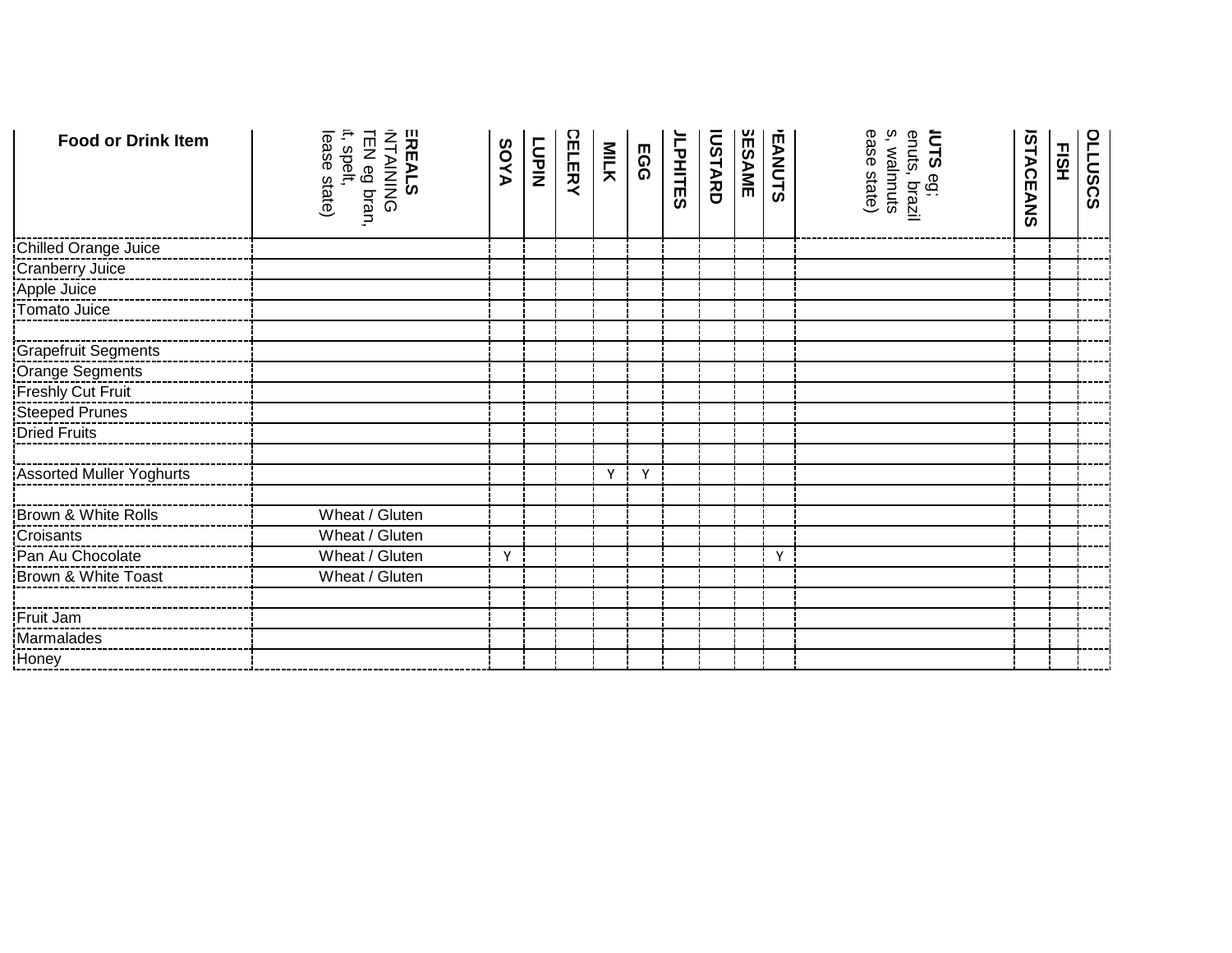| <b>Food or Drink Item</b>       | EREALS<br>INTAINING<br>TEN eg bran,<br>it, spelt,<br>ease state) | <b>AYOS</b> | NIJO<br>I | CELERY | MILK | <b>EGG</b> | JLPHITES | <b>IUSTARD</b> | <b>SESAME</b> | <b>EANUTS</b> | IUTS eg;<br>enuts, brazil<br>s, walnnuts<br>ease state) | STACEANS | <b>FISH</b> | <b>SCRIPSCS</b> |
|---------------------------------|------------------------------------------------------------------|-------------|-----------|--------|------|------------|----------|----------------|---------------|---------------|---------------------------------------------------------|----------|-------------|-----------------|
| Chilled Orange Juice            |                                                                  |             |           |        |      |            |          |                |               |               |                                                         |          |             |                 |
| Cranberry Juice                 |                                                                  |             |           |        |      |            |          |                |               |               |                                                         |          |             |                 |
| Apple Juice                     |                                                                  |             |           |        |      |            |          |                |               |               |                                                         |          |             |                 |
| Tomato Juice                    |                                                                  |             |           |        |      |            |          |                |               |               |                                                         |          |             |                 |
| <b>Grapefruit Segments</b>      |                                                                  |             |           |        |      |            |          |                |               |               |                                                         |          |             |                 |
| Orange Segments                 |                                                                  |             |           |        |      |            |          |                |               |               |                                                         |          |             |                 |
| Freshly Cut Fruit               |                                                                  |             |           |        |      |            |          |                |               |               |                                                         |          |             |                 |
| Steeped Prunes                  |                                                                  |             |           |        |      |            |          |                |               |               |                                                         |          |             |                 |
| <b>Dried Fruits</b>             |                                                                  |             |           |        |      |            |          |                |               |               |                                                         |          |             |                 |
| <b>Assorted Muller Yoghurts</b> |                                                                  |             |           |        | Y    | Y          |          |                |               |               |                                                         |          |             |                 |
| Brown & White Rolls             | Wheat / Gluten                                                   |             |           |        |      |            |          |                |               |               |                                                         |          |             |                 |
| Croisants                       | Wheat / Gluten                                                   |             |           |        |      |            |          |                |               |               |                                                         |          |             |                 |
| Pan Au Chocolate                | Wheat / Gluten                                                   | Y           |           |        |      |            |          |                |               | Y             |                                                         |          |             |                 |
| Brown & White Toast             | Wheat / Gluten                                                   |             |           |        |      |            |          |                |               |               |                                                         |          |             |                 |
| Fruit Jam                       |                                                                  |             |           |        |      |            |          |                |               |               |                                                         |          |             |                 |
| Marmalades                      |                                                                  |             |           |        |      |            |          |                |               |               |                                                         |          |             |                 |
| Honey                           |                                                                  |             |           |        |      |            |          |                |               |               |                                                         |          |             |                 |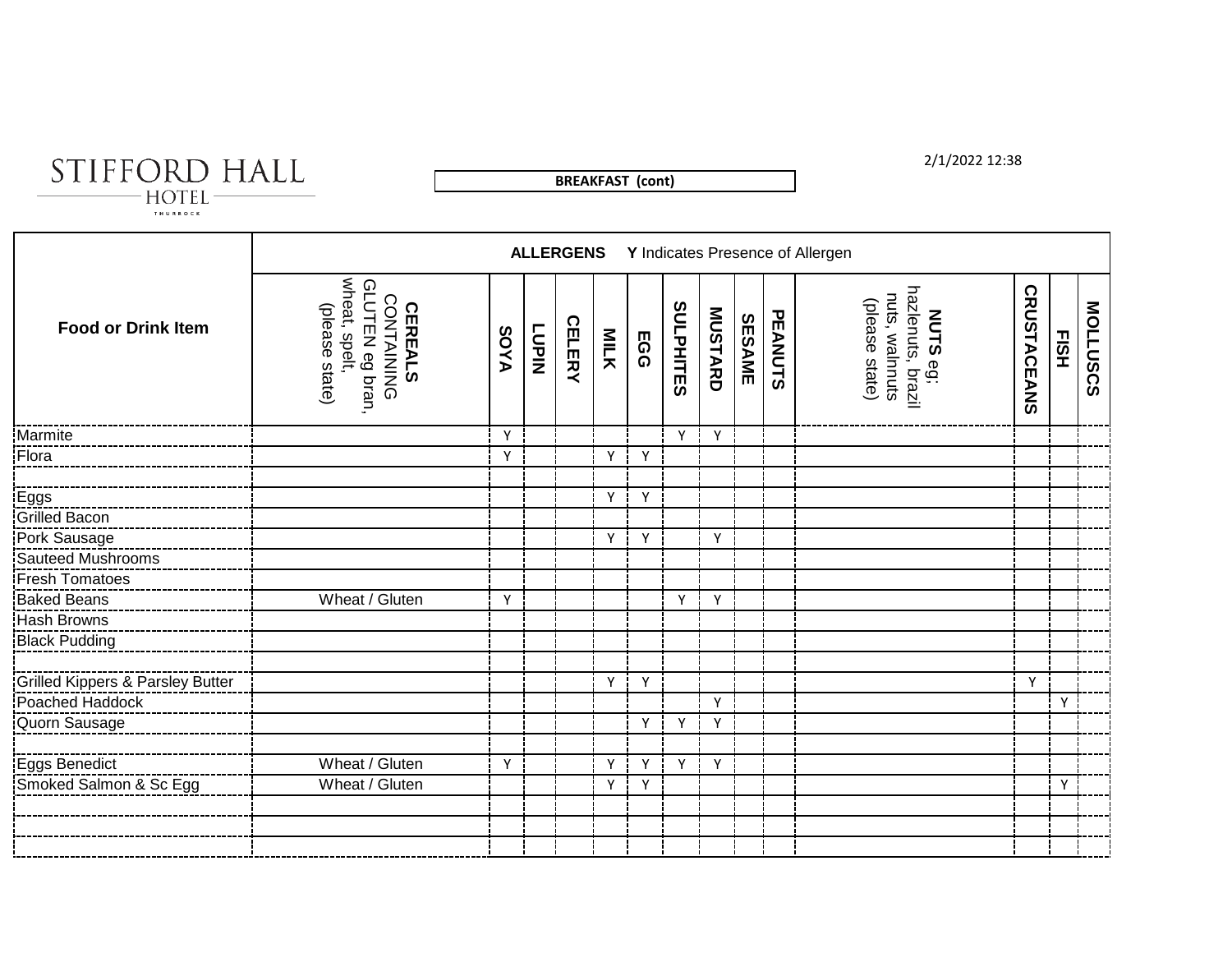

**BREAKFAST (cont)**

### 2/1/2022 12:38

|                                  |                                                                                    |              |              | <b>ALLERGENS</b> |              |            |                  |         |        |         | Y Indicates Presence of Allergen                                         |                    |      |                 |
|----------------------------------|------------------------------------------------------------------------------------|--------------|--------------|------------------|--------------|------------|------------------|---------|--------|---------|--------------------------------------------------------------------------|--------------------|------|-----------------|
| <b>Food or Drink Item</b>        | wheat, spelt,<br>GLUTEN eg bran.<br>CONTAINING<br>(please state)<br><b>CEREALS</b> | <b>AYOS</b>  | <b>TUPIN</b> | <b>CELERY</b>    | <b>MILK</b>  | <b>EGG</b> | <b>SULPHITES</b> | MUSTARD | SESAME | PEANUTS | <b>NUTS</b> eg;<br>hazlenuts, brazil<br>nuts, walnnuts<br>(please state) | <b>CRUSTACEANS</b> | EISH | <b>MOLLUSCS</b> |
| Marmite                          |                                                                                    | Y            |              |                  |              |            | Y                | Y       |        |         |                                                                          |                    |      |                 |
| Flora                            |                                                                                    | Y            |              |                  | Y            | Y          |                  |         |        |         |                                                                          |                    |      |                 |
|                                  |                                                                                    |              |              |                  |              |            |                  |         |        |         |                                                                          |                    |      |                 |
| Eggs                             |                                                                                    |              |              |                  | Y            | Y          |                  |         |        |         |                                                                          |                    |      |                 |
| <b>Grilled Bacon</b>             |                                                                                    |              |              |                  |              |            |                  |         |        |         |                                                                          |                    |      |                 |
| Pork Sausage                     |                                                                                    |              |              |                  | $\mathsf{v}$ | Y          |                  | Y       |        |         |                                                                          |                    |      |                 |
| Sauteed Mushrooms                |                                                                                    |              |              |                  |              |            |                  |         |        |         |                                                                          |                    |      |                 |
| Fresh Tomatoes                   |                                                                                    |              |              |                  |              |            |                  |         |        |         |                                                                          |                    |      |                 |
| Baked Beans                      | Wheat / Gluten                                                                     | $\mathsf{Y}$ |              |                  |              |            | Y                | Y       |        |         |                                                                          |                    |      |                 |
| Hash Browns                      |                                                                                    |              |              |                  |              |            |                  |         |        |         |                                                                          |                    |      |                 |
| Black Pudding                    |                                                                                    |              |              |                  |              |            |                  |         |        |         |                                                                          |                    |      |                 |
| Grilled Kippers & Parsley Butter |                                                                                    |              |              |                  | Y            | Y          |                  |         |        |         |                                                                          | Y                  |      |                 |
| Poached Haddock                  |                                                                                    |              |              |                  |              |            |                  | Y       |        |         |                                                                          |                    | Y    |                 |
| Quorn Sausage                    |                                                                                    |              |              |                  |              | Y          | Y                | Y       |        |         |                                                                          |                    |      |                 |
|                                  |                                                                                    |              |              |                  |              |            |                  |         |        |         |                                                                          |                    |      |                 |
| Eggs Benedict                    | Wheat / Gluten                                                                     | Y            |              |                  | Υ            | Y          | Y                | Y       |        |         |                                                                          |                    |      |                 |
| Smoked Salmon & Sc Egg           | Wheat / Gluten                                                                     |              |              |                  | Υ            | Y          |                  |         |        |         |                                                                          |                    | Y    |                 |
|                                  |                                                                                    |              |              |                  |              |            |                  |         |        |         |                                                                          |                    |      |                 |
|                                  |                                                                                    |              |              |                  |              |            |                  |         |        |         |                                                                          |                    |      |                 |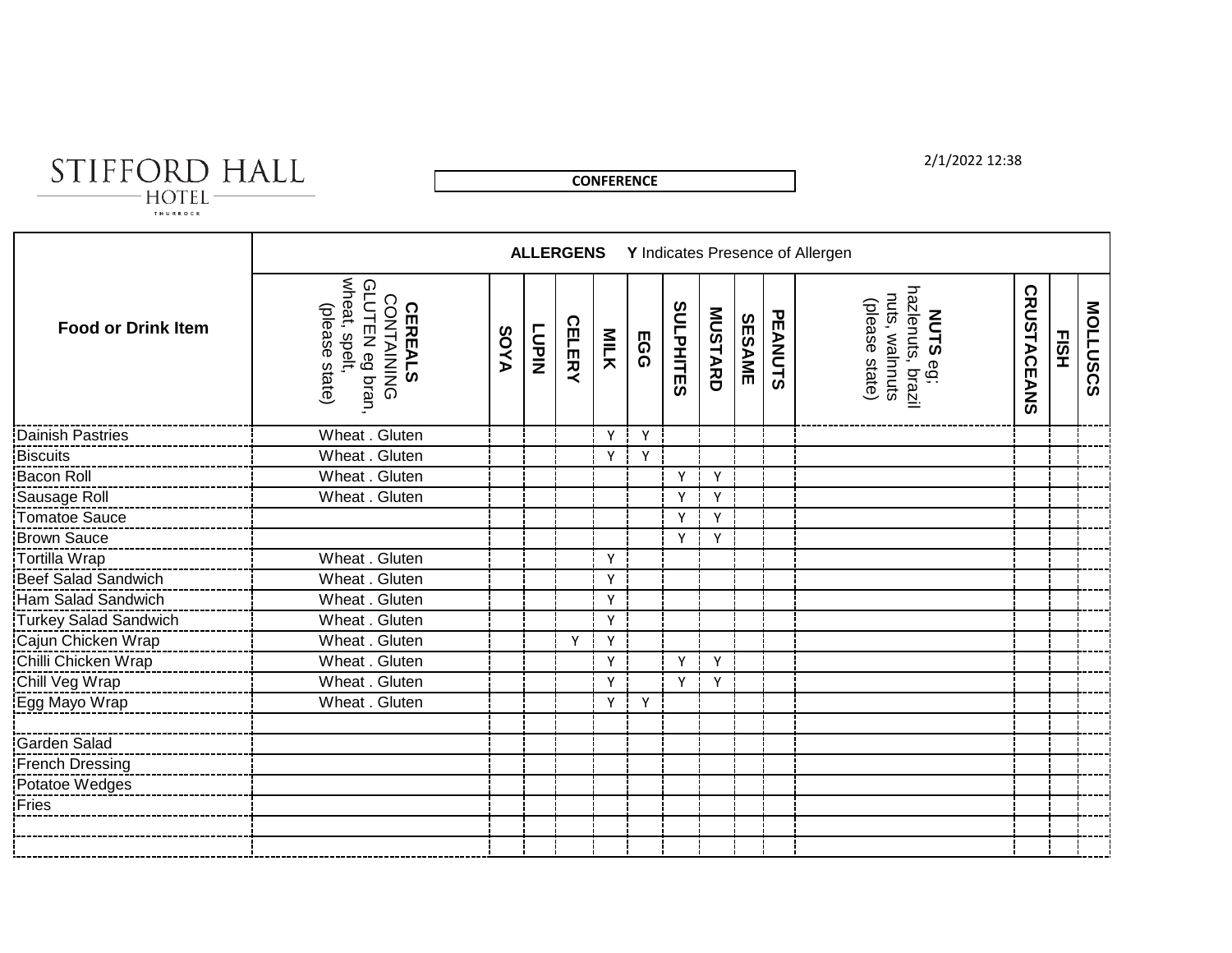# STIFFORD HALL

**CONFERENCE**

### 2/1/2022 12:38

|                           |                                                                                          |             |              | <b>ALLERGENS</b> |              |     |           |                |        |         | Y Indicates Presence of Allergen                                         |                    |      |          |
|---------------------------|------------------------------------------------------------------------------------------|-------------|--------------|------------------|--------------|-----|-----------|----------------|--------|---------|--------------------------------------------------------------------------|--------------------|------|----------|
| <b>Food or Drink Item</b> | wheat, spelt,<br>GLUTEN eg bran<br><b>CONTAINING</b><br>(please state)<br><b>CEREALS</b> | <b>AYOS</b> | <b>NIHOT</b> | <b>CELERY</b>    | <b>MILK</b>  | EGG | SULPHITES | <b>MUSTARD</b> | SESAME | PEANUTS | <b>NUTS</b> eg;<br>hazlenuts, brazil<br>nuts, walnnuts<br>(please state) | <b>CRUSTACEANS</b> | EISH | MOLLUSCS |
| Dainish Pastries          | Wheat . Gluten                                                                           |             |              |                  | Y            | Y   |           |                |        |         |                                                                          |                    |      |          |
| <b>Biscuits</b>           | Wheat . Gluten                                                                           |             |              |                  | Y            | Y   |           |                |        |         |                                                                          |                    |      |          |
| Bacon Roll                | Wheat . Gluten                                                                           |             |              |                  |              |     | Y         | Y              |        |         |                                                                          |                    |      |          |
| Sausage Roll              | Wheat . Gluten                                                                           |             |              |                  |              |     | Y         | Y              |        |         |                                                                          |                    |      |          |
| Tomatoe Sauce             |                                                                                          |             |              |                  |              |     | v         | Y              |        |         |                                                                          |                    |      |          |
| <b>Brown Sauce</b>        |                                                                                          |             |              |                  |              |     | Y         | Y              |        |         |                                                                          |                    |      |          |
| Tortilla Wrap             | Wheat . Gluten                                                                           |             |              |                  | $\mathsf{v}$ |     |           |                |        |         |                                                                          |                    |      |          |
| Beef Salad Sandwich       | Wheat . Gluten                                                                           |             |              |                  | Y            |     |           |                |        |         |                                                                          |                    |      |          |
| Ham Salad Sandwich        | Wheat . Gluten                                                                           |             |              |                  | Y            |     |           |                |        |         |                                                                          |                    |      |          |
| Turkey Salad Sandwich     | Wheat . Gluten                                                                           |             |              |                  | Y            |     |           |                |        |         |                                                                          |                    |      |          |
| Cajun Chicken Wrap        | Wheat . Gluten                                                                           |             |              | Y                | Y            |     |           |                |        |         |                                                                          |                    |      |          |
| Chilli Chicken Wrap       | Wheat . Gluten                                                                           |             |              |                  | Y            |     | Y         | Y              |        |         |                                                                          |                    |      |          |
| Chill Veg Wrap            | Wheat . Gluten                                                                           |             |              |                  | Y            |     | Y         | Y              |        |         |                                                                          |                    |      |          |
| Egg Mayo Wrap             | Wheat . Gluten                                                                           |             |              |                  | Y            | Y   |           |                |        |         |                                                                          |                    |      |          |
|                           |                                                                                          |             |              |                  |              |     |           |                |        |         |                                                                          |                    |      |          |
| Garden Salad              |                                                                                          |             |              |                  |              |     |           |                |        |         |                                                                          |                    |      |          |
| French Dressing           |                                                                                          |             |              |                  |              |     |           |                |        |         |                                                                          |                    |      |          |
| Potatoe Wedges            |                                                                                          |             |              |                  |              |     |           |                |        |         |                                                                          |                    |      |          |
| Fries                     |                                                                                          |             |              |                  |              |     |           |                |        |         |                                                                          |                    |      |          |
|                           |                                                                                          |             |              |                  |              |     |           |                |        |         |                                                                          |                    |      |          |
|                           |                                                                                          |             |              |                  |              |     |           |                |        |         |                                                                          |                    |      |          |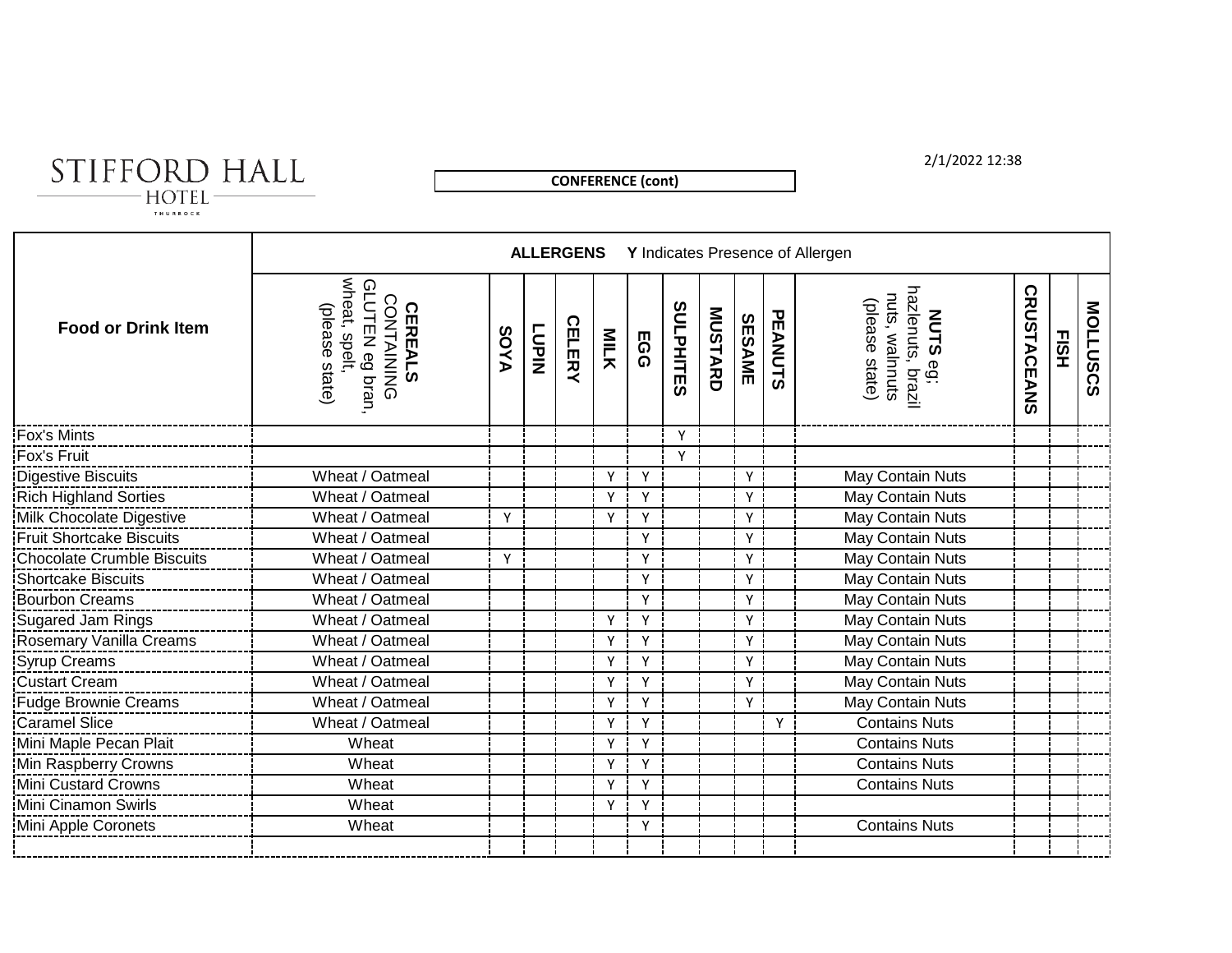# STIFFORD HALL

**CONFERENCE (cont)**

### 2/1/2022 12:38

|                                   |                                                                                         |             |              | <b>ALLERGENS</b> |              |            |                  |                |               |         | Y Indicates Presence of Allergen                                         |                    |      |          |
|-----------------------------------|-----------------------------------------------------------------------------------------|-------------|--------------|------------------|--------------|------------|------------------|----------------|---------------|---------|--------------------------------------------------------------------------|--------------------|------|----------|
| <b>Food or Drink Item</b>         | wheat, spelt<br>GLUTEN eg bran<br><b>CONTAINING</b><br>(please state)<br><b>CEREALS</b> | <b>AYOS</b> | <b>LUPIN</b> | <b>CELERY</b>    | <b>MILK</b>  | <b>EGG</b> | <b>SULPHITES</b> | <b>MUSTARD</b> | <b>SESAME</b> | PEANUTS | <b>NUTS</b> eg;<br>hazlenuts, brazil<br>nuts, walnnuts<br>(please state) | <b>CRUSTACEANS</b> | EISH | MOLLUSCS |
| <b>Fox's Mints</b>                |                                                                                         |             |              |                  |              |            | Y                |                |               |         |                                                                          |                    |      |          |
| Fox's Fruit                       |                                                                                         |             |              |                  |              |            | Y                |                |               |         |                                                                          |                    |      |          |
| <b>Digestive Biscuits</b>         | Wheat / Oatmeal                                                                         |             |              |                  | v            | Υ          |                  |                | Y             |         | May Contain Nuts                                                         |                    |      |          |
| <b>Rich Highland Sorties</b>      | Wheat / Oatmeal                                                                         |             |              |                  | Y            | Y          |                  |                | Y             |         | May Contain Nuts                                                         |                    |      |          |
| Milk Chocolate Digestive          | Wheat / Oatmeal                                                                         | Y           |              |                  | Y            | Y          |                  |                | Y             |         | May Contain Nuts                                                         |                    |      |          |
| <b>Fruit Shortcake Biscuits</b>   | Wheat / Oatmeal                                                                         |             |              |                  |              | Y          |                  |                | Y             |         | May Contain Nuts                                                         |                    |      |          |
| <b>Chocolate Crumble Biscuits</b> | Wheat / Oatmeal                                                                         | Y           |              |                  |              | Y          |                  |                | Y             |         | May Contain Nuts                                                         |                    |      |          |
| <b>Shortcake Biscuits</b>         | Wheat / Oatmeal                                                                         |             |              |                  |              | Y          |                  |                | Y             |         | May Contain Nuts                                                         |                    |      |          |
| <b>Bourbon Creams</b>             | Wheat / Oatmeal                                                                         |             |              |                  |              | Y          |                  |                | Υ             |         | May Contain Nuts                                                         |                    |      |          |
| <b>Sugared Jam Rings</b>          | Wheat / Oatmeal                                                                         |             |              |                  | Y            | Y          |                  |                | Y             |         | May Contain Nuts                                                         |                    |      |          |
| Rosemary Vanilla Creams           | Wheat / Oatmeal                                                                         |             |              |                  | Y            | Υ          |                  |                | Y             |         | May Contain Nuts                                                         |                    |      |          |
| <b>Syrup Creams</b>               | Wheat / Oatmeal                                                                         |             |              |                  | $\checkmark$ | Υ          |                  |                | Y             |         | May Contain Nuts                                                         |                    |      |          |
| <b>Custart Cream</b>              | Wheat / Oatmeal                                                                         |             |              |                  | Y            | Y          |                  |                | Y             |         | May Contain Nuts                                                         |                    |      |          |
| <b>Fudge Brownie Creams</b>       | Wheat / Oatmeal                                                                         |             |              |                  | Y            | Y          |                  |                | Y             |         | May Contain Nuts                                                         |                    |      |          |
| <b>Caramel Slice</b>              | Wheat / Oatmeal                                                                         |             |              |                  | Y            | Υ          |                  |                |               | Y       | <b>Contains Nuts</b>                                                     |                    |      |          |
| Mini Maple Pecan Plait            | Wheat                                                                                   |             |              |                  | Y            | Υ          |                  |                |               |         | <b>Contains Nuts</b>                                                     |                    |      |          |
| Min Raspberry Crowns              | Wheat                                                                                   |             |              |                  | Y            | Y          |                  |                |               |         | <b>Contains Nuts</b>                                                     |                    |      |          |
| Mini Custard Crowns               | Wheat                                                                                   |             |              |                  | Υ            | Y          |                  |                |               |         | <b>Contains Nuts</b>                                                     |                    |      |          |
| Mini Cinamon Swirls               | Wheat                                                                                   |             |              |                  | Y            | Y          |                  |                |               |         |                                                                          |                    |      |          |
| Mini Apple Coronets               | Wheat                                                                                   |             |              |                  |              | Υ          |                  |                |               |         | <b>Contains Nuts</b>                                                     |                    |      |          |
|                                   |                                                                                         |             |              |                  |              |            |                  |                |               |         |                                                                          |                    |      |          |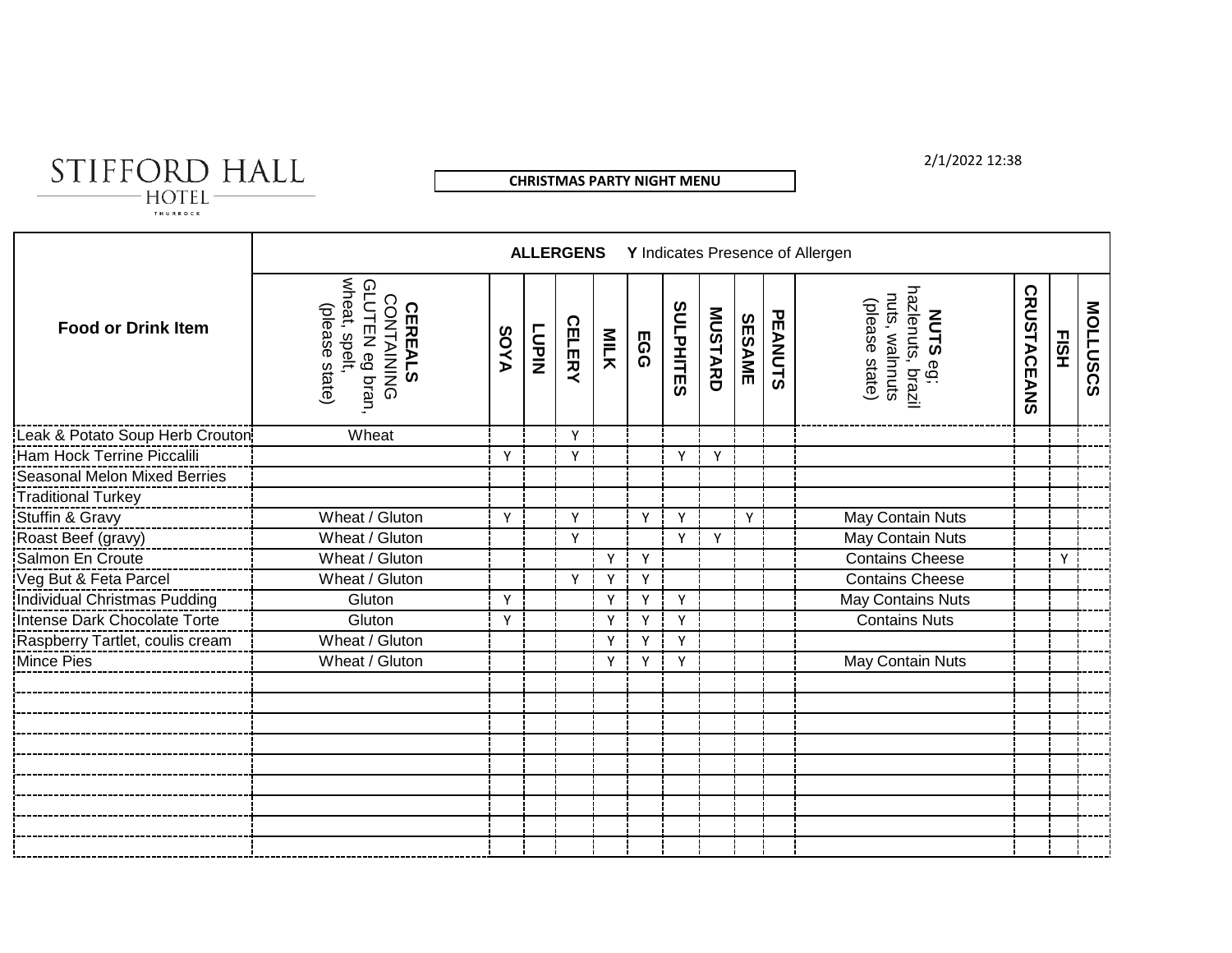

**CHRISTMAS PARTY NIGHT MENU**

2/1/2022 12:38

|                                 |                                                                                  |             |              | <b>ALLERGENS</b> |      |     |                  |                |               |         | Y Indicates Presence of Allergen                                            |                    |      |          |
|---------------------------------|----------------------------------------------------------------------------------|-------------|--------------|------------------|------|-----|------------------|----------------|---------------|---------|-----------------------------------------------------------------------------|--------------------|------|----------|
| <b>Food or Drink Item</b>       | wheat, spelt,<br>GLUTEN eg bran<br>CONTAINING<br>(please state<br><b>CEREALS</b> | <b>SOYA</b> | <b>LUPIN</b> | <b>CELERY</b>    | MILK | EGG | <b>SULPHITES</b> | <b>MUSTARD</b> | <b>SESAME</b> | PEANUTS | hazlenuts, brazil<br>nuts, walnnuts<br>(please state)<br><b>NUTS</b><br>eg: | <b>CRUSTACEANS</b> | EISH | MOLLUSCS |
| Leak & Potato Soup Herb Crouton | Wheat                                                                            |             |              | Y                |      |     |                  |                |               |         |                                                                             |                    |      |          |
| Ham Hock Terrine Piccalili      |                                                                                  | Y           |              | Y                |      |     | Υ                | v              |               |         |                                                                             |                    |      |          |
| Seasonal Melon Mixed Berries    |                                                                                  |             |              |                  |      |     |                  |                |               |         |                                                                             |                    |      |          |
| <b>Traditional Turkey</b>       |                                                                                  |             |              |                  |      |     |                  |                |               |         |                                                                             |                    |      |          |
| Stuffin & Gravy                 | Wheat / Gluton                                                                   | Y           |              | Y                |      | Y   | Y                |                | Υİ            |         | May Contain Nuts                                                            |                    |      |          |
| Roast Beef (gravy)              | Wheat / Gluton                                                                   |             |              | Υ                |      |     | Y                | Y              |               |         | May Contain Nuts                                                            |                    |      |          |
| Salmon En Croute                | Wheat / Gluton                                                                   |             |              |                  | Y    | Y   |                  |                |               |         | <b>Contains Cheese</b>                                                      |                    | Y    |          |
| Veg But & Feta Parcel           | Wheat / Gluton                                                                   |             |              | Y                | Y    | Y   |                  |                |               |         | <b>Contains Cheese</b>                                                      |                    |      |          |
| Individual Christmas Pudding    | Gluton                                                                           | Y           |              |                  | Y    | Y   | Y                |                |               |         | May Contains Nuts                                                           |                    |      |          |
| Intense Dark Chocolate Torte    | Gluton                                                                           | Y           |              |                  | Y    | Y   | Y                |                |               |         | <b>Contains Nuts</b>                                                        |                    |      |          |
| Raspberry Tartlet, coulis cream | Wheat / Gluton                                                                   |             |              |                  | Y    | ۷   | Y                |                |               |         |                                                                             |                    |      |          |
| Mince Pies                      | Wheat / Gluton                                                                   |             |              |                  | Y    | Υ   | Y                |                |               |         | May Contain Nuts                                                            |                    |      |          |
|                                 |                                                                                  |             |              |                  |      |     |                  |                |               |         |                                                                             |                    |      |          |
|                                 |                                                                                  |             |              |                  |      |     |                  |                |               |         |                                                                             |                    |      |          |
|                                 |                                                                                  |             |              |                  |      |     |                  |                |               |         |                                                                             |                    |      |          |
|                                 |                                                                                  |             |              |                  |      |     |                  |                |               |         |                                                                             |                    |      |          |
|                                 |                                                                                  |             |              |                  |      |     |                  |                |               |         |                                                                             |                    |      |          |
|                                 |                                                                                  |             |              |                  |      |     |                  |                |               |         |                                                                             |                    |      |          |
|                                 |                                                                                  |             |              |                  |      |     |                  |                |               |         |                                                                             |                    |      |          |
|                                 |                                                                                  |             |              |                  |      |     |                  |                |               |         |                                                                             |                    |      |          |